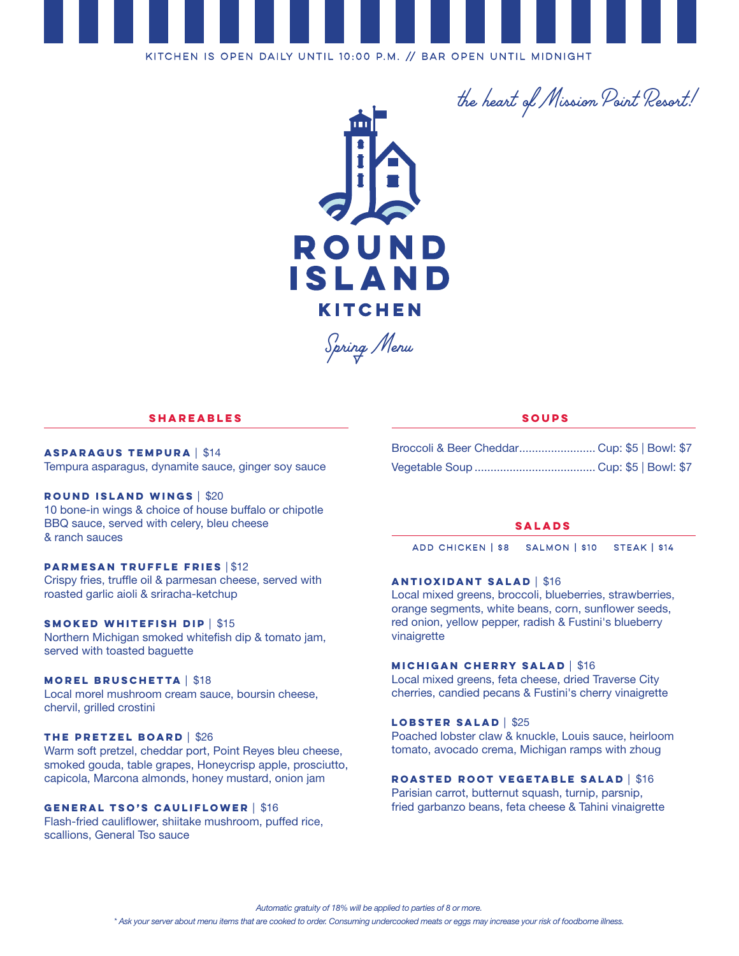

*the heart of Mission Point Resort!*



*Spring Menu*

## **Shareables**

**Asparagus Tempura** | \$14 Tempura asparagus, dynamite sauce, ginger soy sauce

**Round Island Wings** | \$20 10 bone-in wings & choice of house buffalo or chipotle BBQ sauce, served with celery, bleu cheese & ranch sauces

## **Parmesan Truffle Fries** | \$12

Crispy fries, truffle oil & parmesan cheese, served with roasted garlic aioli & sriracha-ketchup

### **Smoked Whitefish Dip** | \$15

Northern Michigan smoked whitefish dip & tomato jam, served with toasted baguette

### **Morel Bruschetta** | \$18

Local morel mushroom cream sauce, boursin cheese, chervil, grilled crostini

## **The Pretzel Board** | \$26

Warm soft pretzel, cheddar port, Point Reyes bleu cheese, smoked gouda, table grapes, Honeycrisp apple, prosciutto, capicola, Marcona almonds, honey mustard, onion jam

### **General Tso's Cauliflower** | \$16

Flash-fried cauliflower, shiitake mushroom, puffed rice, scallions, General Tso sauce

## **Soups**

| Broccoli & Beer Cheddar Cup: \$5   Bowl: \$7 |  |  |
|----------------------------------------------|--|--|
|                                              |  |  |

### **salads**

Add chicken | \$8 salmon | \$10 steak | \$14

## **Antioxidant salad** | \$16

Local mixed greens, broccoli, blueberries, strawberries, orange segments, white beans, corn, sunflower seeds, red onion, yellow pepper, radish & Fustini's blueberry vinaigrette

### **Michigan Cherry Salad** | \$16

Local mixed greens, feta cheese, dried Traverse City cherries, candied pecans & Fustini's cherry vinaigrette

## **Lobster Salad** | \$25

Poached lobster claw & knuckle, Louis sauce, heirloom tomato, avocado crema, Michigan ramps with zhoug

## **Roasted Root Vegetable Salad** | \$16

Parisian carrot, butternut squash, turnip, parsnip, fried garbanzo beans, feta cheese & Tahini vinaigrette

*Automatic gratuity of 18% will be applied to parties of 8 or more.*